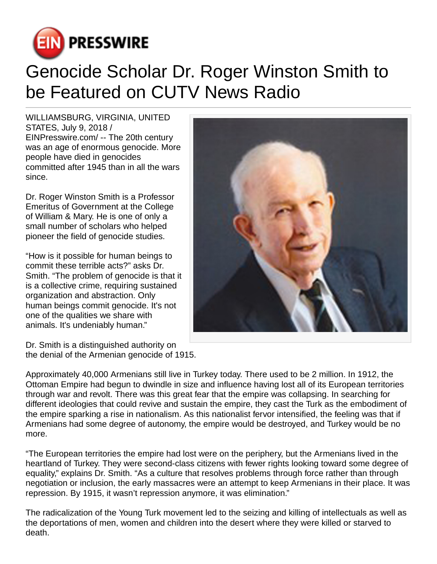

## Genocide Scholar Dr. Roger Winston Smith to be Featured on CUTV News Radio

WILLIAMSBURG, VIRGINIA, UNITED STATES, July 9, 2018 / [EINPresswire.com](http://www.einpresswire.com)/ -- The 20th century was an age of enormous genocide. More people have died in genocides committed after 1945 than in all the wars since.

Dr. Roger Winston Smith is a Professor Emeritus of Government at the College of William & Mary. He is one of only a small number of scholars who helped pioneer the field of genocide studies.

"How is it possible for human beings to commit these terrible acts?" asks Dr. Smith. "The problem of genocide is that it is a collective crime, requiring sustained organization and abstraction. Only human beings commit genocide. It's not one of the qualities we share with animals. It's undeniably human."

Dr. Smith is a distinguished authority on the denial of the Armenian genocide of 1915.



Approximately 40,000 Armenians still live in Turkey today. There used to be 2 million. In 1912, the Ottoman Empire had begun to dwindle in size and influence having lost all of its European territories through war and revolt. There was this great fear that the empire was collapsing. In searching for different ideologies that could revive and sustain the empire, they cast the Turk as the embodiment of the empire sparking a rise in nationalism. As this nationalist fervor intensified, the feeling was that if Armenians had some degree of autonomy, the empire would be destroyed, and Turkey would be no more.

"The European territories the empire had lost were on the periphery, but the Armenians lived in the heartland of Turkey. They were second-class citizens with fewer rights looking toward some degree of equality," explains Dr. Smith. "As a culture that resolves problems through force rather than through negotiation or inclusion, the early massacres were an attempt to keep Armenians in their place. It was repression. By 1915, it wasn't repression anymore, it was elimination."

The radicalization of the Young Turk movement led to the seizing and killing of intellectuals as well as the deportations of men, women and children into the desert where they were killed or starved to death.